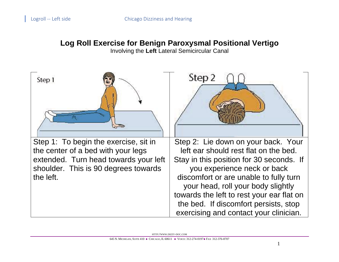## **Log Roll Exercise for Benign Paroxysmal Positional Vertigo**

Involving the **Left** Lateral Semicircular Canal

| Step 1                                                                                                                                                                    | Step 2                                                                                                                                                                                                                                                                                                                                                                  |
|---------------------------------------------------------------------------------------------------------------------------------------------------------------------------|-------------------------------------------------------------------------------------------------------------------------------------------------------------------------------------------------------------------------------------------------------------------------------------------------------------------------------------------------------------------------|
| Step 1: To begin the exercise, sit in<br>the center of a bed with your legs<br>extended. Turn head towards your left<br>shoulder. This is 90 degrees towards<br>the left. | Step 2: Lie down on your back. Your<br>left ear should rest flat on the bed.<br>Stay in this position for 30 seconds. If<br>you experience neck or back<br>discomfort or are unable to fully turn<br>your head, roll your body slightly<br>towards the left to rest your ear flat on<br>the bed. If discomfort persists, stop<br>exercising and contact your clinician. |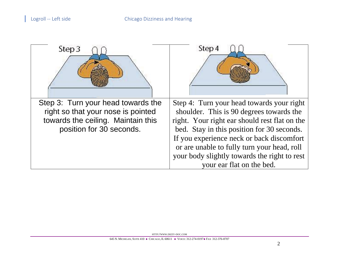| Step 3                                                                                                                                     | Step 4                                                                                                                                                                                                                                                                                                                                                        |
|--------------------------------------------------------------------------------------------------------------------------------------------|---------------------------------------------------------------------------------------------------------------------------------------------------------------------------------------------------------------------------------------------------------------------------------------------------------------------------------------------------------------|
| Step 3: Turn your head towards the<br>right so that your nose is pointed<br>towards the ceiling. Maintain this<br>position for 30 seconds. | Step 4: Turn your head towards your right<br>shoulder. This is 90 degrees towards the<br>right. Your right ear should rest flat on the<br>bed. Stay in this position for 30 seconds.<br>If you experience neck or back discomfort<br>or are unable to fully turn your head, roll<br>your body slightly towards the right to rest<br>your ear flat on the bed. |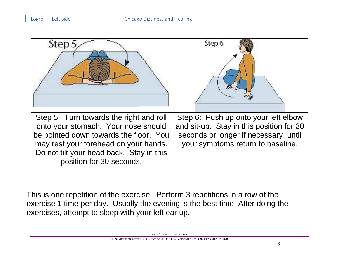| Step.                                                                                                                                                                                                                                     | Step 6                                                                                                                                                         |
|-------------------------------------------------------------------------------------------------------------------------------------------------------------------------------------------------------------------------------------------|----------------------------------------------------------------------------------------------------------------------------------------------------------------|
| Step 5: Turn towards the right and roll<br>onto your stomach. Your nose should<br>be pointed down towards the floor. You<br>may rest your forehead on your hands.<br>Do not tilt your head back. Stay in this<br>position for 30 seconds. | Step 6: Push up onto your left elbow<br>and sit-up. Stay in this position for 30<br>seconds or longer if necessary, until<br>your symptoms return to baseline. |

This is one repetition of the exercise. Perform 3 repetitions in a row of the exercise 1 time per day. Usually the evening is the best time. After doing the exercises, attempt to sleep with your left ear up.